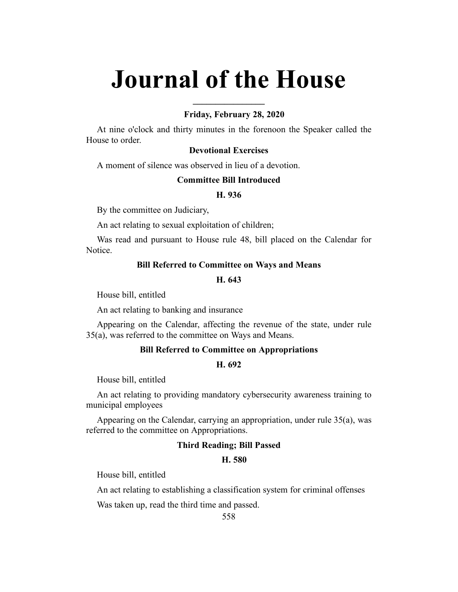# **Journal of the House**

**\_\_\_\_\_\_\_\_\_\_\_\_\_\_\_\_**

# **Friday, February 28, 2020**

At nine o'clock and thirty minutes in the forenoon the Speaker called the House to order.

# **Devotional Exercises**

A moment of silence was observed in lieu of a devotion.

# **Committee Bill Introduced**

# **H. 936**

By the committee on Judiciary,

An act relating to sexual exploitation of children;

Was read and pursuant to House rule 48, bill placed on the Calendar for Notice.

# **Bill Referred to Committee on Ways and Means**

#### **H. 643**

House bill, entitled

An act relating to banking and insurance

Appearing on the Calendar, affecting the revenue of the state, under rule 35(a), was referred to the committee on Ways and Means.

# **Bill Referred to Committee on Appropriations**

#### **H. 692**

House bill, entitled

An act relating to providing mandatory cybersecurity awareness training to municipal employees

Appearing on the Calendar, carrying an appropriation, under rule 35(a), was referred to the committee on Appropriations.

# **Third Reading; Bill Passed**

# **H. 580**

House bill, entitled

An act relating to establishing a classification system for criminal offenses

Was taken up, read the third time and passed.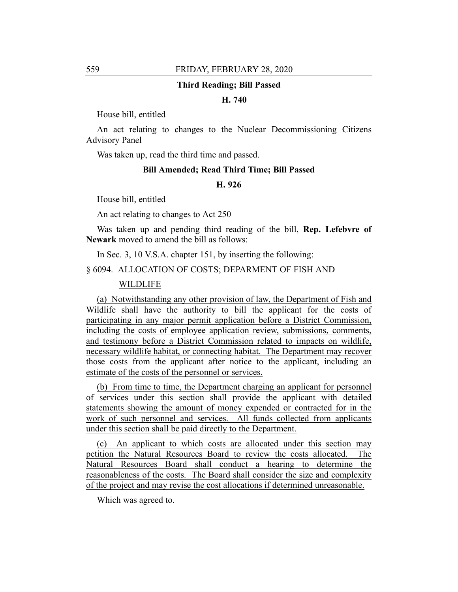#### **Third Reading; Bill Passed**

# **H. 740**

House bill, entitled

An act relating to changes to the Nuclear Decommissioning Citizens Advisory Panel

Was taken up, read the third time and passed.

#### **Bill Amended; Read Third Time; Bill Passed**

# **H. 926**

House bill, entitled

An act relating to changes to Act 250

Was taken up and pending third reading of the bill, **Rep. Lefebvre of Newark** moved to amend the bill as follows:

In Sec. 3, 10 V.S.A. chapter 151, by inserting the following:

#### § 6094. ALLOCATION OF COSTS; DEPARMENT OF FISH AND

#### WILDLIFE

(a) Notwithstanding any other provision of law, the Department of Fish and Wildlife shall have the authority to bill the applicant for the costs of participating in any major permit application before a District Commission, including the costs of employee application review, submissions, comments, and testimony before a District Commission related to impacts on wildlife, necessary wildlife habitat, or connecting habitat. The Department may recover those costs from the applicant after notice to the applicant, including an estimate of the costs of the personnel or services.

(b) From time to time, the Department charging an applicant for personnel of services under this section shall provide the applicant with detailed statements showing the amount of money expended or contracted for in the work of such personnel and services. All funds collected from applicants under this section shall be paid directly to the Department.

(c) An applicant to which costs are allocated under this section may petition the Natural Resources Board to review the costs allocated. The Natural Resources Board shall conduct a hearing to determine the reasonableness of the costs. The Board shall consider the size and complexity of the project and may revise the cost allocations if determined unreasonable.

Which was agreed to.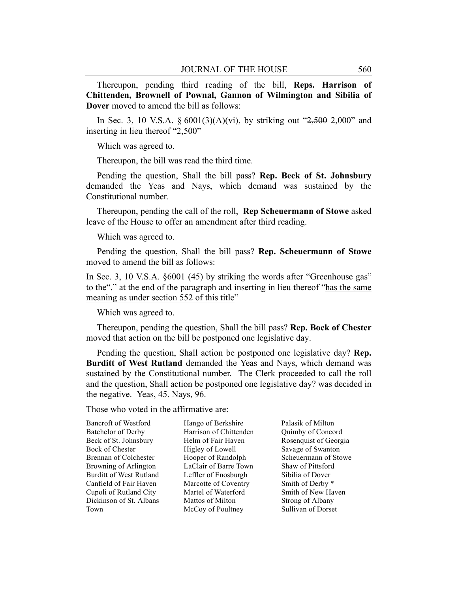Thereupon, pending third reading of the bill, **Reps. Harrison of Chittenden, Brownell of Pownal, Gannon of Wilmington and Sibilia of Dover** moved to amend the bill as follows:

In Sec. 3, 10 V.S.A. §  $6001(3)(A)(vi)$ , by striking out "2,500 2,000" and inserting in lieu thereof "2,500"

Which was agreed to.

Thereupon, the bill was read the third time.

Pending the question, Shall the bill pass? **Rep. Beck of St. Johnsbury** demanded the Yeas and Nays, which demand was sustained by the Constitutional number.

Thereupon, pending the call of the roll, **Rep Scheuermann of Stowe** asked leave of the House to offer an amendment after third reading.

Which was agreed to.

Pending the question, Shall the bill pass? **Rep. Scheuermann of Stowe** moved to amend the bill as follows:

In Sec. 3, 10 V.S.A. §6001 (45) by striking the words after "Greenhouse gas" to the"." at the end of the paragraph and inserting in lieu thereof "has the same meaning as under section 552 of this title"

Which was agreed to.

Thereupon, pending the question, Shall the bill pass? **Rep. Bock of Chester** moved that action on the bill be postponed one legislative day.

Pending the question, Shall action be postponed one legislative day? **Rep. Burditt of West Rutland** demanded the Yeas and Nays, which demand was sustained by the Constitutional number. The Clerk proceeded to call the roll and the question, Shall action be postponed one legislative day? was decided in the negative. Yeas, 45. Nays, 96.

Those who voted in the affirmative are:

Bancroft of Westford Batchelor of Derby Beck of St. Johnsbury Bock of Chester Brennan of Colchester Browning of Arlington Burditt of West Rutland Canfield of Fair Haven Cupoli of Rutland City Dickinson of St. Albans Town

Hango of Berkshire Harrison of Chittenden Helm of Fair Haven Higley of Lowell Hooper of Randolph LaClair of Barre Town Leffler of Enosburgh Marcotte of Coventry Martel of Waterford Mattos of Milton McCoy of Poultney

Palasik of Milton Quimby of Concord Rosenquist of Georgia Savage of Swanton Scheuermann of Stowe Shaw of Pittsford Sibilia of Dover Smith of Derby \* Smith of New Haven Strong of Albany Sullivan of Dorset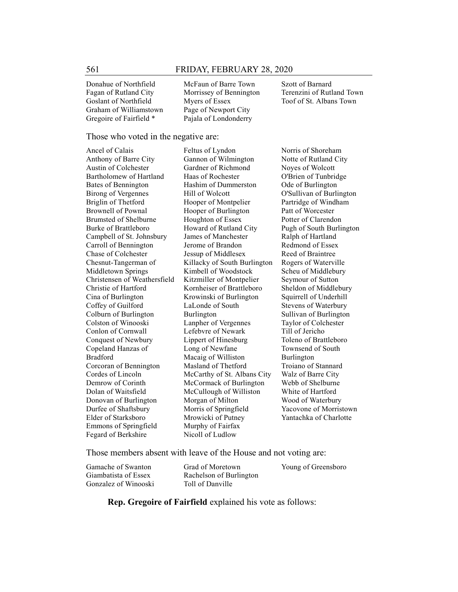Donahue of Northfield Fagan of Rutland City Goslant of Northfield Graham of Williamstown Gregoire of Fairfield \*

McFaun of Barre Town Morrissey of Bennington Myers of Essex Page of Newport City Pajala of Londonderry

Szott of Barnard Terenzini of Rutland Town Toof of St. Albans Town

#### Those who voted in the negative are:

Ancel of Calais Anthony of Barre City Austin of Colchester Bartholomew of Hartland Bates of Bennington Birong of Vergennes Briglin of Thetford Brownell of Pownal Brumsted of Shelburne Burke of Brattleboro Campbell of St. Johnsbury Carroll of Bennington Chase of Colchester Chesnut-Tangerman of Middletown Springs Christensen of Weathersfield Christie of Hartford Cina of Burlington Coffey of Guilford Colburn of Burlington Colston of Winooski Conlon of Cornwall Conquest of Newbury Copeland Hanzas of Bradford Corcoran of Bennington Cordes of Lincoln Demrow of Corinth Dolan of Waitsfield Donovan of Burlington Durfee of Shaftsbury Elder of Starksboro Emmons of Springfield Fegard of Berkshire

Feltus of Lyndon Gannon of Wilmington Gardner of Richmond Haas of Rochester Hashim of Dummerston Hill of Wolcott Hooper of Montpelier Hooper of Burlington Houghton of Essex Howard of Rutland City James of Manchester Jerome of Brandon Jessup of Middlesex Killacky of South Burlington Kimbell of Woodstock Kitzmiller of Montpelier Kornheiser of Brattleboro Krowinski of Burlington LaLonde of South Burlington Lanpher of Vergennes Lefebvre of Newark Lippert of Hinesburg Long of Newfane Macaig of Williston Masland of Thetford McCarthy of St. Albans City McCormack of Burlington McCullough of Williston Morgan of Milton Morris of Springfield Mrowicki of Putney Murphy of Fairfax Nicoll of Ludlow

Norris of Shoreham Notte of Rutland City Noyes of Wolcott O'Brien of Tunbridge Ode of Burlington O'Sullivan of Burlington Partridge of Windham Patt of Worcester Potter of Clarendon Pugh of South Burlington Ralph of Hartland Redmond of Essex Reed of Braintree Rogers of Waterville Scheu of Middlebury Seymour of Sutton Sheldon of Middlebury Squirrell of Underhill Stevens of Waterbury Sullivan of Burlington Taylor of Colchester Till of Jericho Toleno of Brattleboro Townsend of South Burlington Troiano of Stannard Walz of Barre City Webb of Shelburne White of Hartford Wood of Waterbury Yacovone of Morristown Yantachka of Charlotte

Those members absent with leave of the House and not voting are:

| Gamache of Swanton   | Grad of Moretown        | Young of Greensboro |
|----------------------|-------------------------|---------------------|
| Giambatista of Essex | Rachelson of Burlington |                     |
| Gonzalez of Winooski | Toll of Danville        |                     |

**Rep. Gregoire of Fairfield** explained his vote as follows: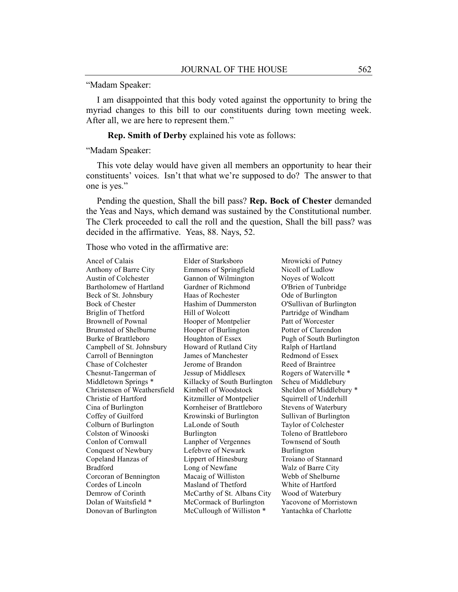"Madam Speaker:

I am disappointed that this body voted against the opportunity to bring the myriad changes to this bill to our constituents during town meeting week. After all, we are here to represent them."

**Rep. Smith of Derby** explained his vote as follows:

"Madam Speaker:

This vote delay would have given all members an opportunity to hear their constituents' voices. Isn't that what we're supposed to do? The answer to that one is yes."

Pending the question, Shall the bill pass? **Rep. Bock of Chester** demanded the Yeas and Nays, which demand was sustained by the Constitutional number. The Clerk proceeded to call the roll and the question, Shall the bill pass? was decided in the affirmative. Yeas, 88. Nays, 52.

Those who voted in the affirmative are:

Ancel of Calais Anthony of Barre City Austin of Colchester Bartholomew of Hartland Beck of St. Johnsbury Bock of Chester Briglin of Thetford Brownell of Pownal Brumsted of Shelburne Burke of Brattleboro Campbell of St. Johnsbury Carroll of Bennington Chase of Colchester Chesnut-Tangerman of Middletown Springs \* Christensen of Weathersfield Christie of Hartford Cina of Burlington Coffey of Guilford Colburn of Burlington Colston of Winooski Conlon of Cornwall Conquest of Newbury Copeland Hanzas of Bradford Corcoran of Bennington Cordes of Lincoln Demrow of Corinth Dolan of Waitsfield \* Donovan of Burlington

Elder of Starksboro Emmons of Springfield Gannon of Wilmington Gardner of Richmond Haas of Rochester Hashim of Dummerston Hill of Wolcott Hooper of Montpelier Hooper of Burlington Houghton of Essex Howard of Rutland City James of Manchester Jerome of Brandon Jessup of Middlesex Killacky of South Burlington Kimbell of Woodstock Kitzmiller of Montpelier Kornheiser of Brattleboro Krowinski of Burlington LaLonde of South Burlington Lanpher of Vergennes Lefebvre of Newark Lippert of Hinesburg Long of Newfane Macaig of Williston Masland of Thetford McCarthy of St. Albans City McCormack of Burlington McCullough of Williston \*

Mrowicki of Putney Nicoll of Ludlow Noyes of Wolcott O'Brien of Tunbridge Ode of Burlington O'Sullivan of Burlington Partridge of Windham Patt of Worcester Potter of Clarendon Pugh of South Burlington Ralph of Hartland Redmond of Essex Reed of Braintree Rogers of Waterville \* Scheu of Middlebury Sheldon of Middlebury \* Squirrell of Underhill Stevens of Waterbury Sullivan of Burlington Taylor of Colchester Toleno of Brattleboro Townsend of South Burlington Troiano of Stannard Walz of Barre City Webb of Shelburne White of Hartford Wood of Waterbury Yacovone of Morristown Yantachka of Charlotte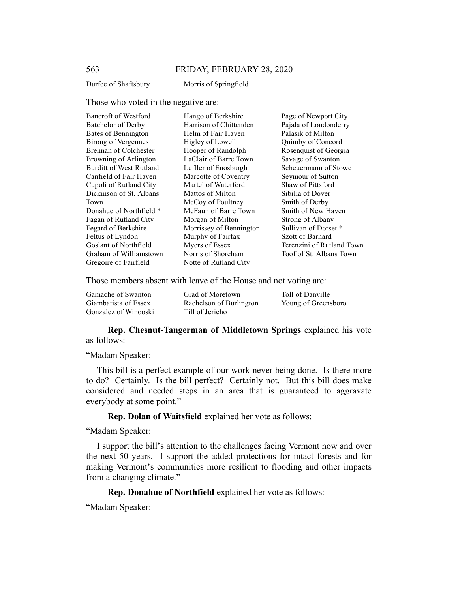Durfee of Shaftsbury Morris of Springfield

#### Those who voted in the negative are:

| Bancroft of Westford       | Hango of Berkshire      | Page of Newport City      |
|----------------------------|-------------------------|---------------------------|
| Batchelor of Derby         | Harrison of Chittenden  | Pajala of Londonderry     |
| Bates of Bennington        | Helm of Fair Haven      | Palasik of Milton         |
| <b>Birong of Vergennes</b> | Higley of Lowell        | Quimby of Concord         |
| Brennan of Colchester      | Hooper of Randolph      | Rosenquist of Georgia     |
| Browning of Arlington      | LaClair of Barre Town   | Savage of Swanton         |
| Burditt of West Rutland    | Leffler of Enosburgh    | Scheuermann of Stowe      |
| Canfield of Fair Haven     | Marcotte of Coventry    | Seymour of Sutton         |
| Cupoli of Rutland City     | Martel of Waterford     | Shaw of Pittsford         |
| Dickinson of St. Albans    | Mattos of Milton        | Sibilia of Dover          |
| Town                       | McCoy of Poultney       | Smith of Derby            |
| Donahue of Northfield *    | McFaun of Barre Town    | Smith of New Haven        |
| Fagan of Rutland City      | Morgan of Milton        | Strong of Albany          |
| Fegard of Berkshire        | Morrissey of Bennington | Sullivan of Dorset *      |
| Feltus of Lyndon           | Murphy of Fairfax       | Szott of Barnard          |
| Goslant of Northfield      | Myers of Essex          | Terenzini of Rutland Town |
| Graham of Williamstown     | Norris of Shoreham      | Toof of St. Albans Town   |
| Gregoire of Fairfield      | Notte of Rutland City   |                           |

Those members absent with leave of the House and not voting are:

| Gamache of Swanton   | Grad of Moretown        | Toll of Danville    |
|----------------------|-------------------------|---------------------|
| Giambatista of Essex | Rachelson of Burlington | Young of Greensboro |
| Gonzalez of Winooski | Till of Jericho         |                     |

**Rep. Chesnut-Tangerman of Middletown Springs** explained his vote as follows:

### "Madam Speaker:

This bill is a perfect example of our work never being done. Is there more to do? Certainly. Is the bill perfect? Certainly not. But this bill does make considered and needed steps in an area that is guaranteed to aggravate everybody at some point."

**Rep. Dolan of Waitsfield** explained her vote as follows:

"Madam Speaker:

I support the bill's attention to the challenges facing Vermont now and over the next 50 years. I support the added protections for intact forests and for making Vermont's communities more resilient to flooding and other impacts from a changing climate."

# **Rep. Donahue of Northfield** explained her vote as follows:

"Madam Speaker: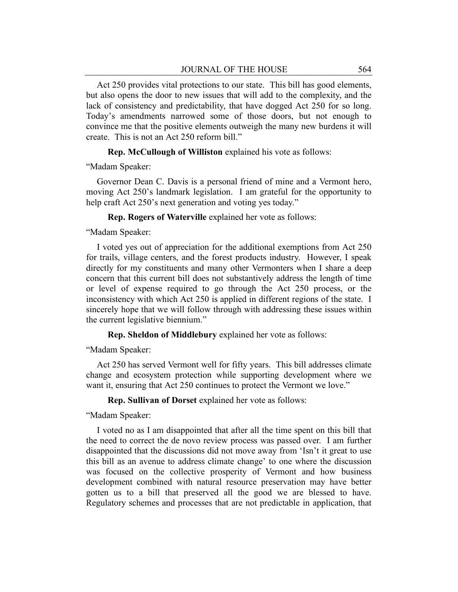Act 250 provides vital protections to our state. This bill has good elements, but also opens the door to new issues that will add to the complexity, and the lack of consistency and predictability, that have dogged Act 250 for so long. Today's amendments narrowed some of those doors, but not enough to convince me that the positive elements outweigh the many new burdens it will create. This is not an Act 250 reform bill."

**Rep. McCullough of Williston** explained his vote as follows:

"Madam Speaker:

Governor Dean C. Davis is a personal friend of mine and a Vermont hero, moving Act 250's landmark legislation. I am grateful for the opportunity to help craft Act 250's next generation and voting yes today."

**Rep. Rogers of Waterville** explained her vote as follows:

"Madam Speaker:

I voted yes out of appreciation for the additional exemptions from Act 250 for trails, village centers, and the forest products industry. However, I speak directly for my constituents and many other Vermonters when I share a deep concern that this current bill does not substantively address the length of time or level of expense required to go through the Act 250 process, or the inconsistency with which Act 250 is applied in different regions of the state. I sincerely hope that we will follow through with addressing these issues within the current legislative biennium."

**Rep. Sheldon of Middlebury** explained her vote as follows:

"Madam Speaker:

Act 250 has served Vermont well for fifty years. This bill addresses climate change and ecosystem protection while supporting development where we want it, ensuring that Act 250 continues to protect the Vermont we love."

**Rep. Sullivan of Dorset** explained her vote as follows:

"Madam Speaker:

I voted no as I am disappointed that after all the time spent on this bill that the need to correct the de novo review process was passed over. I am further disappointed that the discussions did not move away from 'Isn't it great to use this bill as an avenue to address climate change' to one where the discussion was focused on the collective prosperity of Vermont and how business development combined with natural resource preservation may have better gotten us to a bill that preserved all the good we are blessed to have. Regulatory schemes and processes that are not predictable in application, that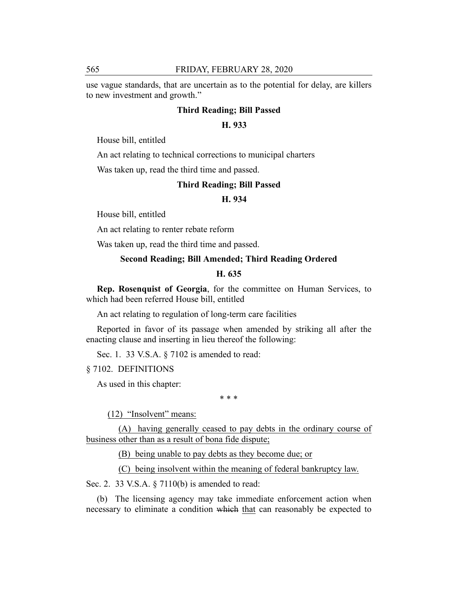use vague standards, that are uncertain as to the potential for delay, are killers to new investment and growth."

# **Third Reading; Bill Passed**

# **H. 933**

House bill, entitled

An act relating to technical corrections to municipal charters

Was taken up, read the third time and passed.

# **Third Reading; Bill Passed**

#### **H. 934**

House bill, entitled

An act relating to renter rebate reform

Was taken up, read the third time and passed.

# **Second Reading; Bill Amended; Third Reading Ordered**

# **H. 635**

**Rep. Rosenquist of Georgia**, for the committee on Human Services, to which had been referred House bill, entitled

An act relating to regulation of long-term care facilities

Reported in favor of its passage when amended by striking all after the enacting clause and inserting in lieu thereof the following:

Sec. 1. 33 V.S.A. § 7102 is amended to read:

§ 7102. DEFINITIONS

As used in this chapter:

\* \* \*

(12) "Insolvent" means:

(A) having generally ceased to pay debts in the ordinary course of business other than as a result of bona fide dispute;

(B) being unable to pay debts as they become due; or

(C) being insolvent within the meaning of federal bankruptcy law.

Sec. 2. 33 V.S.A. § 7110(b) is amended to read:

(b) The licensing agency may take immediate enforcement action when necessary to eliminate a condition which that can reasonably be expected to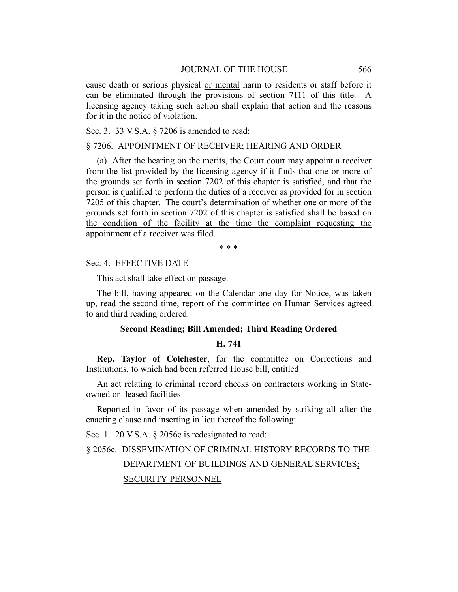cause death or serious physical or mental harm to residents or staff before it can be eliminated through the provisions of section 7111 of this title. A licensing agency taking such action shall explain that action and the reasons for it in the notice of violation.

Sec. 3. 33 V.S.A. § 7206 is amended to read:

# § 7206. APPOINTMENT OF RECEIVER; HEARING AND ORDER

(a) After the hearing on the merits, the Court court may appoint a receiver from the list provided by the licensing agency if it finds that one or more of the grounds set forth in section 7202 of this chapter is satisfied, and that the person is qualified to perform the duties of a receiver as provided for in section 7205 of this chapter. The court's determination of whether one or more of the grounds set forth in section 7202 of this chapter is satisfied shall be based on the condition of the facility at the time the complaint requesting the appointment of a receiver was filed.

\* \* \*

Sec. 4. EFFECTIVE DATE

This act shall take effect on passage.

The bill, having appeared on the Calendar one day for Notice, was taken up, read the second time, report of the committee on Human Services agreed to and third reading ordered.

# **Second Reading; Bill Amended; Third Reading Ordered**

# **H. 741**

**Rep. Taylor of Colchester**, for the committee on Corrections and Institutions, to which had been referred House bill, entitled

An act relating to criminal record checks on contractors working in Stateowned or -leased facilities

Reported in favor of its passage when amended by striking all after the enacting clause and inserting in lieu thereof the following:

Sec. 1. 20 V.S.A. § 2056e is redesignated to read:

§ 2056e. DISSEMINATION OF CRIMINAL HISTORY RECORDS TO THE DEPARTMENT OF BUILDINGS AND GENERAL SERVICES; SECURITY PERSONNEL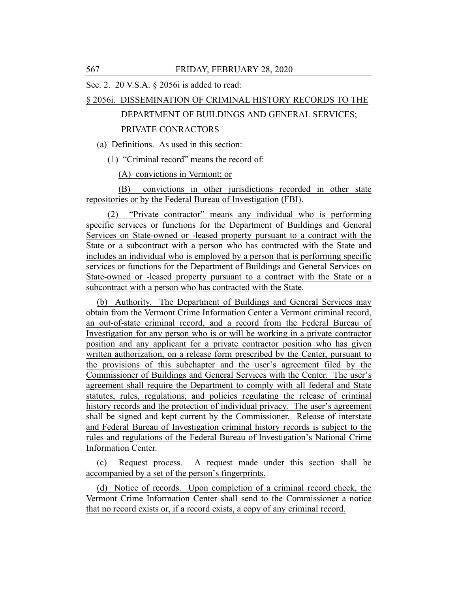Sec. 2. 20 V.S.A. § 2056i is added to read:

#### § 2056i. DISSEMINATION OF CRIMINAL HISTORY RECORDS TO THE

# DEPARTMENT OF BUILDINGS AND GENERAL SERVICES;

#### PRIVATE CONRACTORS

(a) Definitions. As used in this section:

(1) "Criminal record" means the record of:

(A) convictions in Vermont; or

(B) convictions in other jurisdictions recorded in other state repositories or by the Federal Bureau of Investigation (FBI).

(2) "Private contractor" means any individual who is performing specific services or functions for the Department of Buildings and General Services on State-owned or -leased property pursuant to a contract with the State or a subcontract with a person who has contracted with the State and includes an individual who is employed by a person that is performing specific services or functions for the Department of Buildings and General Services on State-owned or -leased property pursuant to a contract with the State or a subcontract with a person who has contracted with the State.

(b) Authority. The Department of Buildings and General Services may obtain from the Vermont Crime Information Center a Vermont criminal record, an out-of-state criminal record, and a record from the Federal Bureau of Investigation for any person who is or will be working in a private contractor position and any applicant for a private contractor position who has given written authorization, on a release form prescribed by the Center, pursuant to the provisions of this subchapter and the user's agreement filed by the Commissioner of Buildings and General Services with the Center. The user's agreement shall require the Department to comply with all federal and State statutes, rules, regulations, and policies regulating the release of criminal history records and the protection of individual privacy. The user's agreement shall be signed and kept current by the Commissioner. Release of interstate and Federal Bureau of Investigation criminal history records is subject to the rules and regulations of the Federal Bureau of Investigation's National Crime Information Center.

(c) Request process. A request made under this section shall be accompanied by a set of the person's fingerprints.

(d) Notice of records. Upon completion of a criminal record check, the Vermont Crime Information Center shall send to the Commissioner a notice that no record exists or, if a record exists, a copy of any criminal record.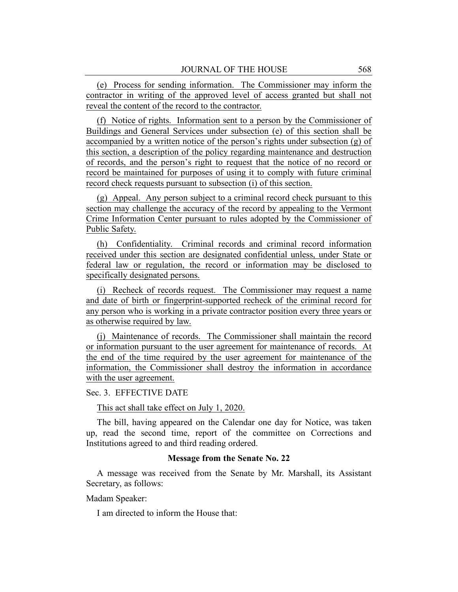(e) Process for sending information. The Commissioner may inform the contractor in writing of the approved level of access granted but shall not reveal the content of the record to the contractor.

(f) Notice of rights. Information sent to a person by the Commissioner of Buildings and General Services under subsection (e) of this section shall be accompanied by a written notice of the person's rights under subsection (g) of this section, a description of the policy regarding maintenance and destruction of records, and the person's right to request that the notice of no record or record be maintained for purposes of using it to comply with future criminal record check requests pursuant to subsection (i) of this section.

(g) Appeal. Any person subject to a criminal record check pursuant to this section may challenge the accuracy of the record by appealing to the Vermont Crime Information Center pursuant to rules adopted by the Commissioner of Public Safety.

(h) Confidentiality. Criminal records and criminal record information received under this section are designated confidential unless, under State or federal law or regulation, the record or information may be disclosed to specifically designated persons.

(i) Recheck of records request. The Commissioner may request a name and date of birth or fingerprint-supported recheck of the criminal record for any person who is working in a private contractor position every three years or as otherwise required by law.

(j) Maintenance of records. The Commissioner shall maintain the record or information pursuant to the user agreement for maintenance of records. At the end of the time required by the user agreement for maintenance of the information, the Commissioner shall destroy the information in accordance with the user agreement.

Sec. 3. EFFECTIVE DATE

This act shall take effect on July 1, 2020.

The bill, having appeared on the Calendar one day for Notice, was taken up, read the second time, report of the committee on Corrections and Institutions agreed to and third reading ordered.

#### **Message from the Senate No. 22**

A message was received from the Senate by Mr. Marshall, its Assistant Secretary, as follows:

Madam Speaker:

I am directed to inform the House that: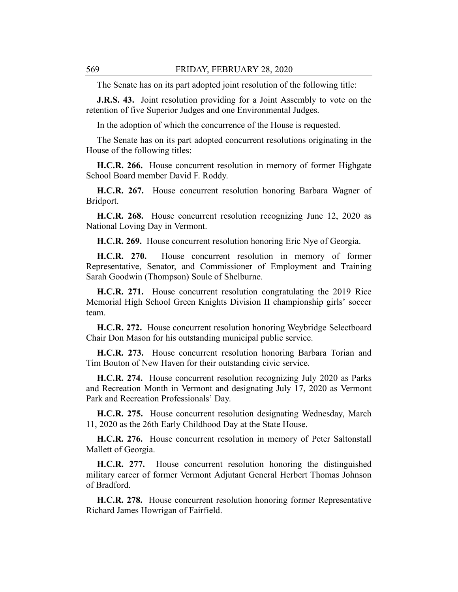The Senate has on its part adopted joint resolution of the following title:

**J.R.S. 43.** Joint resolution providing for a Joint Assembly to vote on the retention of five Superior Judges and one Environmental Judges.

In the adoption of which the concurrence of the House is requested.

The Senate has on its part adopted concurrent resolutions originating in the House of the following titles:

**H.C.R. 266.** House concurrent resolution in memory of former Highgate School Board member David F. Roddy.

**H.C.R. 267.** House concurrent resolution honoring Barbara Wagner of Bridport.

**H.C.R. 268.** House concurrent resolution recognizing June 12, 2020 as National Loving Day in Vermont.

**H.C.R. 269.** House concurrent resolution honoring Eric Nye of Georgia.

**H.C.R. 270.** House concurrent resolution in memory of former Representative, Senator, and Commissioner of Employment and Training Sarah Goodwin (Thompson) Soule of Shelburne.

**H.C.R. 271.** House concurrent resolution congratulating the 2019 Rice Memorial High School Green Knights Division II championship girls' soccer team.

**H.C.R. 272.** House concurrent resolution honoring Weybridge Selectboard Chair Don Mason for his outstanding municipal public service.

**H.C.R. 273.** House concurrent resolution honoring Barbara Torian and Tim Bouton of New Haven for their outstanding civic service.

**H.C.R. 274.** House concurrent resolution recognizing July 2020 as Parks and Recreation Month in Vermont and designating July 17, 2020 as Vermont Park and Recreation Professionals' Day.

**H.C.R. 275.** House concurrent resolution designating Wednesday, March 11, 2020 as the 26th Early Childhood Day at the State House.

**H.C.R. 276.** House concurrent resolution in memory of Peter Saltonstall Mallett of Georgia.

**H.C.R. 277.** House concurrent resolution honoring the distinguished military career of former Vermont Adjutant General Herbert Thomas Johnson of Bradford.

**H.C.R. 278.** House concurrent resolution honoring former Representative Richard James Howrigan of Fairfield.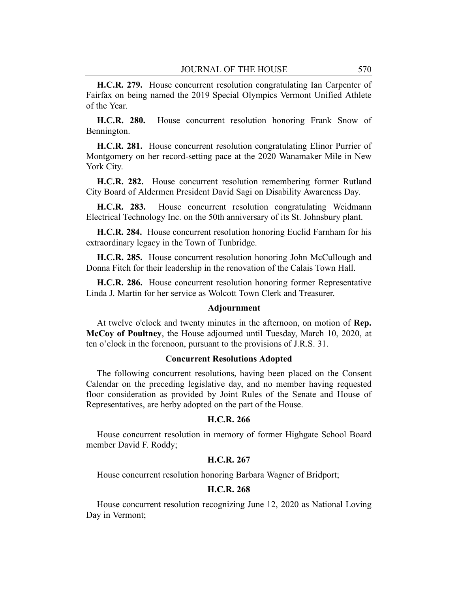**H.C.R. 279.** House concurrent resolution congratulating Ian Carpenter of Fairfax on being named the 2019 Special Olympics Vermont Unified Athlete of the Year.

**H.C.R. 280.** House concurrent resolution honoring Frank Snow of Bennington.

**H.C.R. 281.** House concurrent resolution congratulating Elinor Purrier of Montgomery on her record-setting pace at the 2020 Wanamaker Mile in New York City.

**H.C.R. 282.** House concurrent resolution remembering former Rutland City Board of Aldermen President David Sagi on Disability Awareness Day.

**H.C.R. 283.** House concurrent resolution congratulating Weidmann Electrical Technology Inc. on the 50th anniversary of its St. Johnsbury plant.

**H.C.R. 284.** House concurrent resolution honoring Euclid Farnham for his extraordinary legacy in the Town of Tunbridge.

**H.C.R. 285.** House concurrent resolution honoring John McCullough and Donna Fitch for their leadership in the renovation of the Calais Town Hall.

**H.C.R. 286.** House concurrent resolution honoring former Representative Linda J. Martin for her service as Wolcott Town Clerk and Treasurer.

# **Adjournment**

At twelve o'clock and twenty minutes in the afternoon, on motion of **Rep. McCoy of Poultney**, the House adjourned until Tuesday, March 10, 2020, at ten o'clock in the forenoon, pursuant to the provisions of J.R.S. 31.

#### **Concurrent Resolutions Adopted**

The following concurrent resolutions, having been placed on the Consent Calendar on the preceding legislative day, and no member having requested floor consideration as provided by Joint Rules of the Senate and House of Representatives, are herby adopted on the part of the House.

#### **H.C.R. 266**

House concurrent resolution in memory of former Highgate School Board member David F. Roddy;

#### **H.C.R. 267**

House concurrent resolution honoring Barbara Wagner of Bridport;

# **H.C.R. 268**

House concurrent resolution recognizing June 12, 2020 as National Loving Day in Vermont;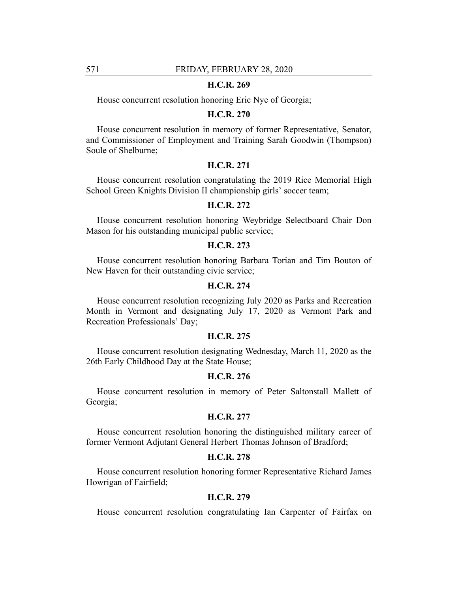# **H.C.R. 269**

House concurrent resolution honoring Eric Nye of Georgia;

#### **H.C.R. 270**

House concurrent resolution in memory of former Representative, Senator, and Commissioner of Employment and Training Sarah Goodwin (Thompson) Soule of Shelburne;

# **H.C.R. 271**

House concurrent resolution congratulating the 2019 Rice Memorial High School Green Knights Division II championship girls' soccer team;

# **H.C.R. 272**

House concurrent resolution honoring Weybridge Selectboard Chair Don Mason for his outstanding municipal public service;

# **H.C.R. 273**

House concurrent resolution honoring Barbara Torian and Tim Bouton of New Haven for their outstanding civic service;

# **H.C.R. 274**

House concurrent resolution recognizing July 2020 as Parks and Recreation Month in Vermont and designating July 17, 2020 as Vermont Park and Recreation Professionals' Day;

#### **H.C.R. 275**

House concurrent resolution designating Wednesday, March 11, 2020 as the 26th Early Childhood Day at the State House;

# **H.C.R. 276**

House concurrent resolution in memory of Peter Saltonstall Mallett of Georgia;

# **H.C.R. 277**

House concurrent resolution honoring the distinguished military career of former Vermont Adjutant General Herbert Thomas Johnson of Bradford;

# **H.C.R. 278**

House concurrent resolution honoring former Representative Richard James Howrigan of Fairfield;

# **H.C.R. 279**

House concurrent resolution congratulating Ian Carpenter of Fairfax on